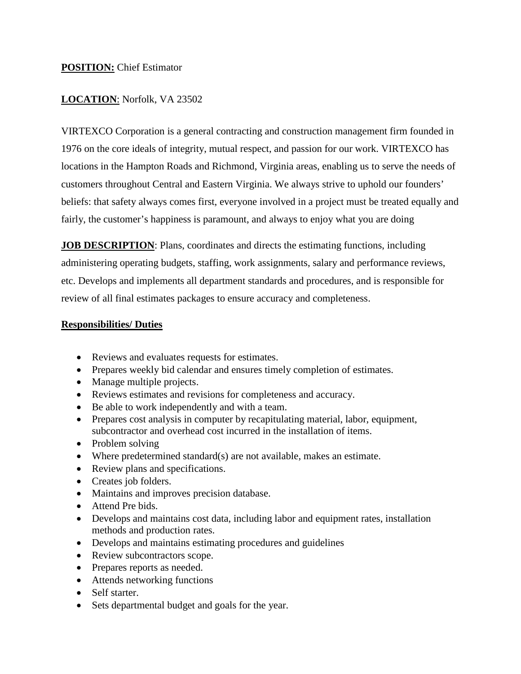### **POSITION:** Chief Estimator

# **LOCATION**: Norfolk, VA 23502

VIRTEXCO Corporation is a general contracting and construction management firm founded in 1976 on the core ideals of integrity, mutual respect, and passion for our work. VIRTEXCO has locations in the Hampton Roads and Richmond, Virginia areas, enabling us to serve the needs of customers throughout Central and Eastern Virginia. We always strive to uphold our founders' beliefs: that safety always comes first, everyone involved in a project must be treated equally and fairly, the customer's happiness is paramount, and always to enjoy what you are doing

**JOB DESCRIPTION:** Plans, coordinates and directs the estimating functions, including administering operating budgets, staffing, work assignments, salary and performance reviews, etc. Develops and implements all department standards and procedures, and is responsible for review of all final estimates packages to ensure accuracy and completeness.

#### **Responsibilities/ Duties**

- Reviews and evaluates requests for estimates.
- Prepares weekly bid calendar and ensures timely completion of estimates.
- Manage multiple projects.
- Reviews estimates and revisions for completeness and accuracy.
- Be able to work independently and with a team.
- Prepares cost analysis in computer by recapitulating material, labor, equipment, subcontractor and overhead cost incurred in the installation of items.
- Problem solving
- Where predetermined standard(s) are not available, makes an estimate.
- Review plans and specifications.
- Creates job folders.
- Maintains and improves precision database.
- Attend Pre bids.
- Develops and maintains cost data, including labor and equipment rates, installation methods and production rates.
- Develops and maintains estimating procedures and guidelines
- Review subcontractors scope.
- Prepares reports as needed.
- Attends networking functions
- Self starter.
- Sets departmental budget and goals for the year.